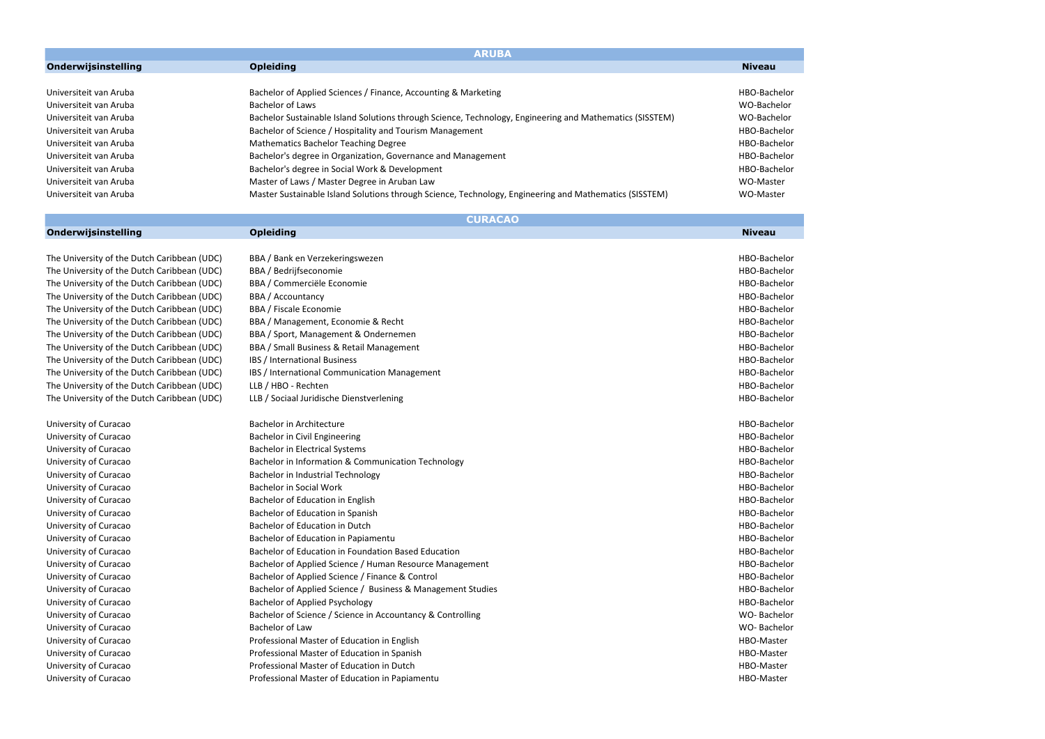|                        | <b>ARUBA</b>                                                                                             |               |  |
|------------------------|----------------------------------------------------------------------------------------------------------|---------------|--|
| Onderwijsinstelling    | <b>Opleiding</b>                                                                                         | <b>Niveau</b> |  |
|                        |                                                                                                          |               |  |
| Universiteit van Aruba | Bachelor of Applied Sciences / Finance, Accounting & Marketing                                           | HBO-Bachelor  |  |
| Universiteit van Aruba | Bachelor of Laws                                                                                         | WO-Bachelor   |  |
| Universiteit van Aruba | Bachelor Sustainable Island Solutions through Science, Technology, Engineering and Mathematics (SISSTEM) | WO-Bachelor   |  |
| Universiteit van Aruba | Bachelor of Science / Hospitality and Tourism Management                                                 | HBO-Bachelor  |  |
| Universiteit van Aruba | <b>Mathematics Bachelor Teaching Degree</b>                                                              | HBO-Bachelor  |  |
| Universiteit van Aruba | Bachelor's degree in Organization, Governance and Management                                             | HBO-Bachelor  |  |
| Universiteit van Aruba | Bachelor's degree in Social Work & Development                                                           | HBO-Bachelor  |  |
| Universiteit van Aruba | Master of Laws / Master Degree in Aruban Law                                                             | WO-Master     |  |
| Universiteit van Aruba | Master Sustainable Island Solutions through Science, Technology, Engineering and Mathematics (SISSTEM)   | WO-Master     |  |

|                                             | <b>CURACAO</b>                                              |               |              |
|---------------------------------------------|-------------------------------------------------------------|---------------|--------------|
| Onderwijsinstelling                         | <b>Opleiding</b>                                            | <b>Niveau</b> |              |
|                                             |                                                             |               |              |
| The University of the Dutch Caribbean (UDC) | BBA / Bank en Verzekeringswezen                             |               | HBO-Bachelor |
| The University of the Dutch Caribbean (UDC) | BBA / Bedrijfseconomie                                      |               | HBO-Bachelor |
| The University of the Dutch Caribbean (UDC) | BBA / Commerciële Economie                                  |               | HBO-Bachelor |
| The University of the Dutch Caribbean (UDC) | BBA / Accountancy                                           |               | HBO-Bachelor |
| The University of the Dutch Caribbean (UDC) | BBA / Fiscale Economie                                      |               | HBO-Bachelor |
| The University of the Dutch Caribbean (UDC) | BBA / Management, Economie & Recht                          |               | HBO-Bachelor |
| The University of the Dutch Caribbean (UDC) | BBA / Sport, Management & Ondernemen                        |               | HBO-Bachelor |
| The University of the Dutch Caribbean (UDC) | BBA / Small Business & Retail Management                    |               | HBO-Bachelor |
| The University of the Dutch Caribbean (UDC) | <b>IBS</b> / International Business                         |               | HBO-Bachelor |
| The University of the Dutch Caribbean (UDC) | IBS / International Communication Management                |               | HBO-Bachelor |
| The University of the Dutch Caribbean (UDC) | LLB / HBO - Rechten                                         |               | HBO-Bachelor |
| The University of the Dutch Caribbean (UDC) | LLB / Sociaal Juridische Dienstverlening                    |               | HBO-Bachelor |
|                                             |                                                             |               |              |
| University of Curacao                       | <b>Bachelor in Architecture</b>                             |               | HBO-Bachelor |
| University of Curacao                       | Bachelor in Civil Engineering                               |               | HBO-Bachelor |
| University of Curacao                       | <b>Bachelor in Electrical Systems</b>                       |               | HBO-Bachelor |
| University of Curacao                       | Bachelor in Information & Communication Technology          |               | HBO-Bachelor |
| University of Curacao                       | Bachelor in Industrial Technology                           |               | HBO-Bachelor |
| University of Curacao                       | <b>Bachelor in Social Work</b>                              |               | HBO-Bachelor |
| University of Curacao                       | Bachelor of Education in English                            |               | HBO-Bachelor |
| University of Curacao                       | Bachelor of Education in Spanish                            |               | HBO-Bachelor |
| University of Curacao                       | Bachelor of Education in Dutch                              |               | HBO-Bachelor |
| University of Curacao                       | Bachelor of Education in Papiamentu                         |               | HBO-Bachelor |
| University of Curacao                       | Bachelor of Education in Foundation Based Education         |               | HBO-Bachelor |
| University of Curacao                       | Bachelor of Applied Science / Human Resource Management     |               | HBO-Bachelor |
| University of Curacao                       | Bachelor of Applied Science / Finance & Control             |               | HBO-Bachelor |
| University of Curacao                       | Bachelor of Applied Science / Business & Management Studies |               | HBO-Bachelor |
| University of Curacao                       | <b>Bachelor of Applied Psychology</b>                       |               | HBO-Bachelor |
| University of Curacao                       | Bachelor of Science / Science in Accountancy & Controlling  |               | WO-Bachelor  |
| University of Curacao                       | Bachelor of Law                                             |               | WO-Bachelor  |
| University of Curacao                       | Professional Master of Education in English                 | HBO-Master    |              |
| University of Curacao                       | Professional Master of Education in Spanish                 | HBO-Master    |              |
| University of Curacao                       | Professional Master of Education in Dutch                   | HBO-Master    |              |
| University of Curacao                       | Professional Master of Education in Papiamentu              | HBO-Master    |              |